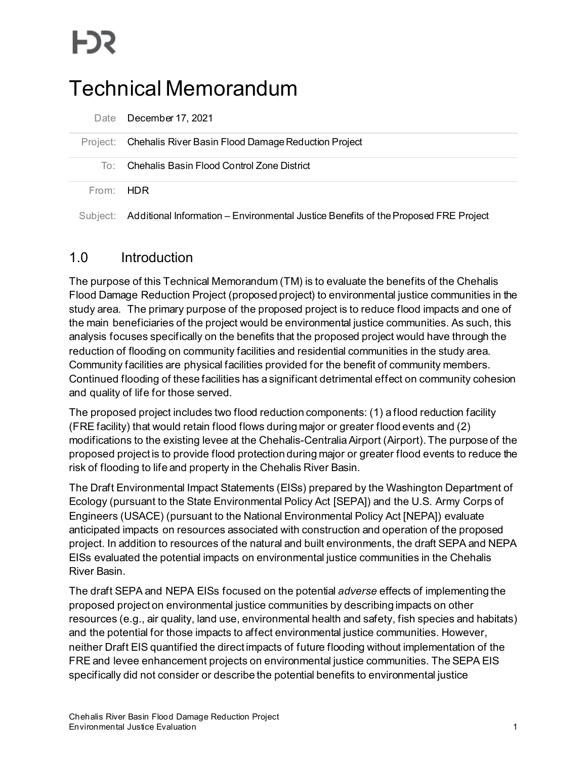# Technical Memorandum

|           | Date December 17, 2021                                                                       |
|-----------|----------------------------------------------------------------------------------------------|
|           | Project: Chehalis River Basin Flood Damage Reduction Project                                 |
| To:       | Chehalis Basin Flood Control Zone District                                                   |
| From: HDR |                                                                                              |
|           | Subject: Additional Information – Environmental Justice Benefits of the Proposed FRE Project |

# 1.0 Introduction

The purpose of this Technical Memorandum (TM) is to evaluate the benefits of the Chehalis Flood Damage Reduction Project (proposed project) to environmental justice communities in the study area. The primary purpose of the proposed project is to reduce flood impacts and one of the main beneficiaries of the project would be environmental justice communities. As such, this analysis focuses specifically on the benefits that the proposed project would have through the reduction of flooding on community facilities and residential communities in the study area. Community facilities are physical facilities provided for the benefit of community members. Continued flooding of these facilities has a significant detrimental effect on community cohesion and quality of life for those served.

The proposed project includes two flood reduction components: (1) a flood reduction facility (FRE facility) that would retain flood flows during major or greater flood events and (2) modifications to the existing levee at the Chehalis-Centralia Airport (Airport). The purpose of the proposed project is to provide flood protection during major or greater flood events to reduce the risk of flooding to life and property in the Chehalis River Basin.

The Draft Environmental Impact Statements (EISs) prepared by the Washington Department of Ecology (pursuant to the State Environmental Policy Act [SEPA]) and the U.S. Army Corps of Engineers (USACE) (pursuant to the National Environmental Policy Act [NEPA]) evaluate anticipated impacts on resources associated with construction and operation of the proposed project. In addition to resources of the natural and built environments, the draft SEPA and NEPA EISs evaluated the potential impacts on environmental justice communities in the Chehalis River Basin.

The draft SEPA and NEPA EISs focused on the potential *adverse* effects of implementing the proposed project on environmental justice communities by describing impacts on other resources (e.g., air quality, land use, environmental health and safety, fish species and habitats) and the potential for those impacts to affect environmental justice communities. However, neither Draft EIS quantified the direct impacts of future flooding without implementation of the FRE and levee enhancement projects on environmental justice communities. The SEPA EIS specifically did not consider or describe the potential benefits to environmental justice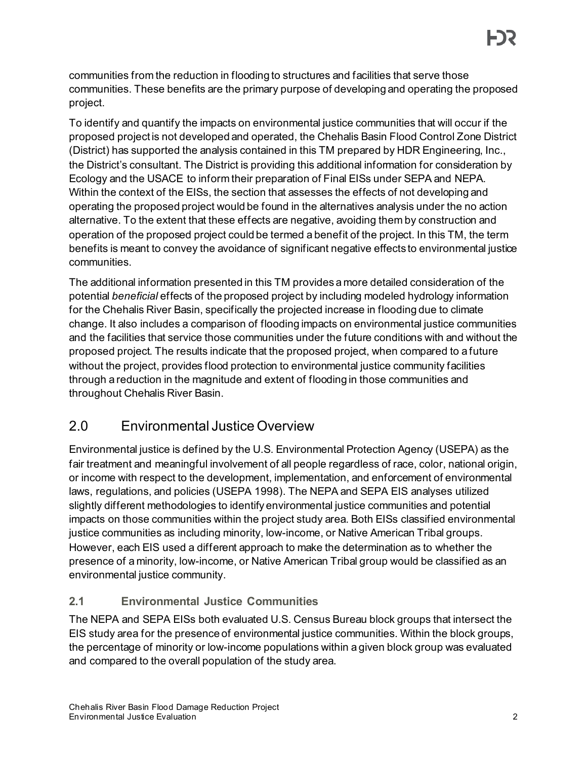communities from the reduction in flooding to structures and facilities that serve those communities. These benefits are the primary purpose of developing and operating the proposed project.

To identify and quantify the impacts on environmental justice communities that will occur if the proposed project is not developed and operated, the Chehalis Basin Flood Control Zone District (District) has supported the analysis contained in this TM prepared by HDR Engineering, Inc., the District's consultant. The District is providing this additional information for consideration by Ecology and the USACE to inform their preparation of Final EISs under SEPA and NEPA. Within the context of the EISs, the section that assesses the effects of not developing and operating the proposed project would be found in the alternatives analysis under the no action alternative. To the extent that these effects are negative, avoiding them by construction and operation of the proposed project could be termed a benefit of the project. In this TM, the term benefits is meant to convey the avoidance of significant negative effects to environmental justice communities.

The additional information presented in this TM provides a more detailed consideration of the potential *beneficial* effects of the proposed project by including modeled hydrology information for the Chehalis River Basin, specifically the projected increase in flooding due to climate change. It also includes a comparison of flooding impacts on environmental justice communities and the facilities that service those communities under the future conditions with and without the proposed project. The results indicate that the proposed project, when compared to a future without the project, provides flood protection to environmental justice community facilities through a reduction in the magnitude and extent of flooding in those communities and throughout Chehalis River Basin.

# 2.0 Environmental Justice Overview

Environmental justice is defined by the U.S. Environmental Protection Agency (USEPA) as the fair treatment and meaningful involvement of all people regardless of race, color, national origin, or income with respect to the development, implementation, and enforcement of environmental laws, regulations, and policies (USEPA 1998). The NEPA and SEPA EIS analyses utilized slightly different methodologies to identify environmental justice communities and potential impacts on those communities within the project study area. Both EISs classified environmental justice communities as including minority, low-income, or Native American Tribal groups. However, each EIS used a different approach to make the determination as to whether the presence of a minority, low-income, or Native American Tribal group would be classified as an environmental justice community.

## **2.1 Environmental Justice Communities**

The NEPA and SEPA EISs both evaluated U.S. Census Bureau block groups that intersect the EIS study area for the presence of environmental justice communities. Within the block groups, the percentage of minority or low-income populations within a given block group was evaluated and compared to the overall population of the study area.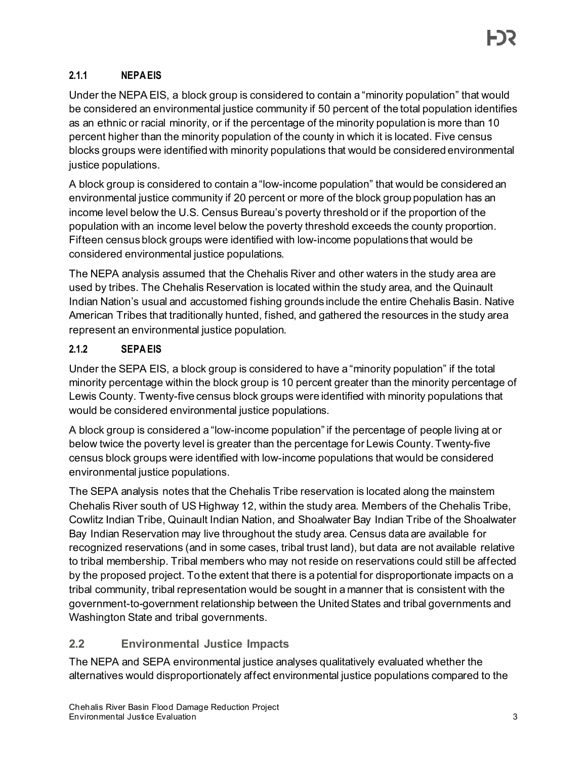## **2.1.1 NEPA EIS**

Under the NEPA EIS, a block group is considered to contain a "minority population" that would be considered an environmental justice community if 50 percent of the total population identifies as an ethnic or racial minority, or if the percentage of the minority population is more than 10 percent higher than the minority population of the county in which it is located. Five census blocks groups were identified with minority populations that would be considered environmental justice populations.

A block group is considered to contain a "low-income population" that would be considered an environmental justice community if 20 percent or more of the block group population has an income level below the U.S. Census Bureau's poverty threshold or if the proportion of the population with an income level below the poverty threshold exceeds the county proportion. Fifteen census block groups were identified with low-income populations that would be considered environmental justice populations.

The NEPA analysis assumed that the Chehalis River and other waters in the study area are used by tribes. The Chehalis Reservation is located within the study area, and the Quinault Indian Nation's usual and accustomed fishing grounds include the entire Chehalis Basin. Native American Tribes that traditionally hunted, fished, and gathered the resources in the study area represent an environmental justice population.

## **2.1.2 SEPA EIS**

Under the SEPA EIS, a block group is considered to have a "minority population" if the total minority percentage within the block group is 10 percent greater than the minority percentage of Lewis County. Twenty-five census block groups were identified with minority populations that would be considered environmental justice populations.

A block group is considered a "low-income population" if the percentage of people living at or below twice the poverty level is greater than the percentage for Lewis County. Twenty-five census block groups were identified with low-income populations that would be considered environmental justice populations.

The SEPA analysis notes that the Chehalis Tribe reservation is located along the mainstem Chehalis River south of US Highway 12, within the study area. Members of the Chehalis Tribe, Cowlitz Indian Tribe, Quinault Indian Nation, and Shoalwater Bay Indian Tribe of the Shoalwater Bay Indian Reservation may live throughout the study area. Census data are available for recognized reservations (and in some cases, tribal trust land), but data are not available relative to tribal membership. Tribal members who may not reside on reservations could still be affected by the proposed project. To the extent that there is a potential for disproportionate impacts on a tribal community, tribal representation would be sought in a manner that is consistent with the government-to-government relationship between the United States and tribal governments and Washington State and tribal governments.

## **2.2 Environmental Justice Impacts**

The NEPA and SEPA environmental justice analyses qualitatively evaluated whether the alternatives would disproportionately affect environmental justice populations compared to the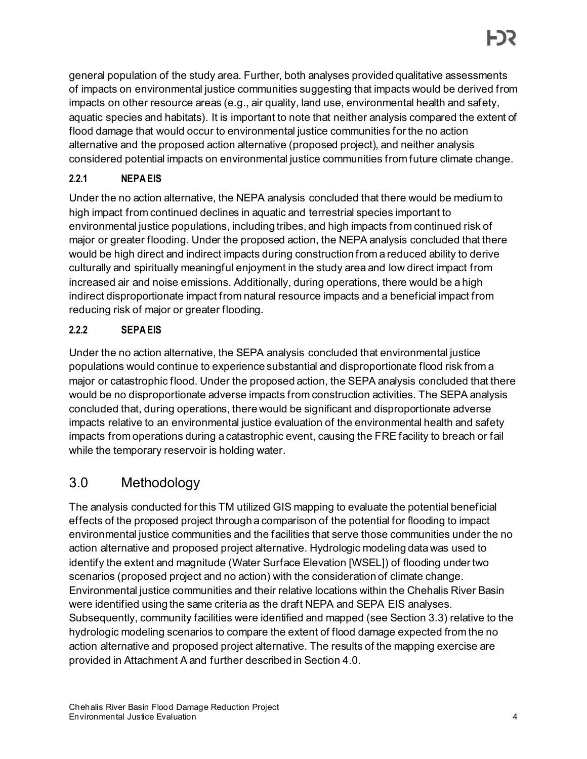general population of the study area. Further, both analyses provided qualitative assessments of impacts on environmental justice communities suggesting that impacts would be derived from impacts on other resource areas (e.g., air quality, land use, environmental health and safety, aquatic species and habitats). It is important to note that neither analysis compared the extent of flood damage that would occur to environmental justice communities for the no action alternative and the proposed action alternative (proposed project), and neither analysis considered potential impacts on environmental justice communities from future climate change.

## **2.2.1 NEPA EIS**

Under the no action alternative, the NEPA analysis concluded that there would be medium to high impact from continued declines in aquatic and terrestrial species important to environmental justice populations, including tribes, and high impacts from continued risk of major or greater flooding. Under the proposed action, the NEPA analysis concluded that there would be high direct and indirect impacts during construction from a reduced ability to derive culturally and spiritually meaningful enjoyment in the study area and low direct impact from increased air and noise emissions. Additionally, during operations, there would be a high indirect disproportionate impact from natural resource impacts and a beneficial impact from reducing risk of major or greater flooding.

## **2.2.2 SEPA EIS**

Under the no action alternative, the SEPA analysis concluded that environmental justice populations would continue to experience substantial and disproportionate flood risk from a major or catastrophic flood. Under the proposed action, the SEPA analysis concluded that there would be no disproportionate adverse impacts from construction activities. The SEPA analysis concluded that, during operations, there would be significant and disproportionate adverse impacts relative to an environmental justice evaluation of the environmental health and safety impacts from operations during a catastrophic event, causing the FRE facility to breach or fail while the temporary reservoir is holding water.

# 3.0 Methodology

The analysis conducted for this TM utilized GIS mapping to evaluate the potential beneficial effects of the proposed project through a comparison of the potential for flooding to impact environmental justice communities and the facilities that serve those communities under the no action alternative and proposed project alternative. Hydrologic modeling data was used to identify the extent and magnitude (Water Surface Elevation [WSEL]) of flooding under two scenarios (proposed project and no action) with the consideration of climate change. Environmental justice communities and their relative locations within the Chehalis River Basin were identified using the same criteria as the draft NEPA and SEPA EIS analyses. Subsequently, community facilities were identified and mapped (see Sectio[n 3.3](#page-4-0)) relative to the hydrologic modeling scenarios to compare the extent of flood damage expected from the no action alternative and proposed project alternative. The results of the mapping exercise are provided in [Attachment A](#page-15-0) and further described in Sectio[n 4.0.](#page-5-0)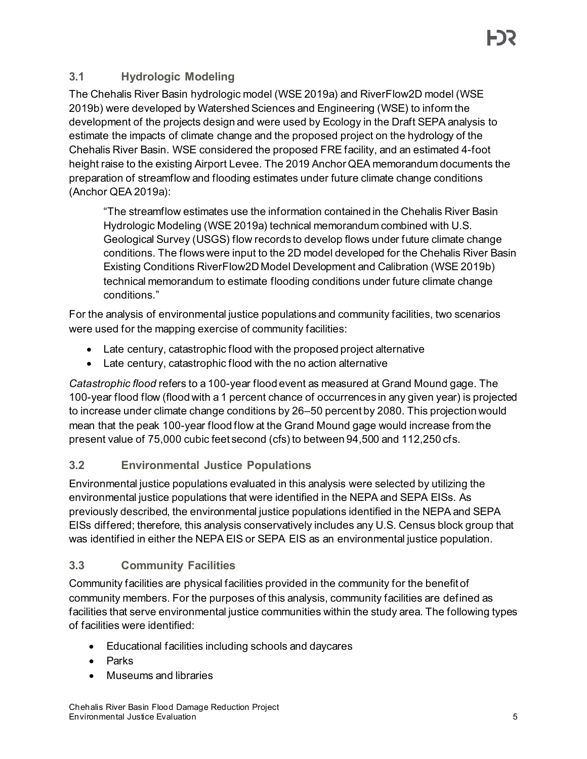## **3.1 Hydrologic Modeling**

The Chehalis River Basin hydrologic model (WSE 2019a) and RiverFlow2D model (WSE 2019b) were developed by Watershed Sciences and Engineering (WSE) to inform the development of the projects design and were used by Ecology in the Draft SEPA analysis to estimate the impacts of climate change and the proposed project on the hydrology of the Chehalis River Basin. WSE considered the proposed FRE facility, and an estimated 4-foot height raise to the existing Airport Levee. The 2019 Anchor QEA memorandum documents the preparation of streamflow and flooding estimates under future climate change conditions (Anchor QEA 2019a):

"The streamflow estimates use the information contained in the Chehalis River Basin Hydrologic Modeling (WSE 2019a) technical memorandum combined with U.S. Geological Survey (USGS) flow records to develop flows under future climate change conditions. The flows were input to the 2D model developed for the Chehalis River Basin Existing Conditions RiverFlow2D Model Development and Calibration (WSE 2019b) technical memorandum to estimate flooding conditions under future climate change conditions."

For the analysis of environmental justice populations and community facilities, two scenarios were used for the mapping exercise of community facilities:

- Late century, catastrophic flood with the proposed project alternative
- Late century, catastrophic flood with the no action alternative

*Catastrophic flood* refers to a 100-year flood event as measured at Grand Mound gage. The 100-year flood flow (flood with a 1 percent chance of occurrences in any given year) is projected to increase under climate change conditions by 26–50 percent by 2080. This projection would mean that the peak 100-year flood flow at the Grand Mound gage would increase from the present value of 75,000 cubic feet second (cfs) to between 94,500 and 112,250 cfs.

## **3.2 Environmental Justice Populations**

Environmental justice populations evaluated in this analysis were selected by utilizing the environmental justice populations that were identified in the NEPA and SEPA EISs. As previously described, the environmental justice populations identified in the NEPA and SEPA EISs differed; therefore, this analysis conservatively includes any U.S. Census block group that was identified in either the NEPA EIS or SEPA EIS as an environmental justice population.

## <span id="page-4-0"></span>**3.3 Community Facilities**

Community facilities are physical facilities provided in the community for the benefit of community members. For the purposes of this analysis, community facilities are defined as facilities that serve environmental justice communities within the study area. The following types of facilities were identified:

- Educational facilities including schools and daycares
- Parks
- Museums and libraries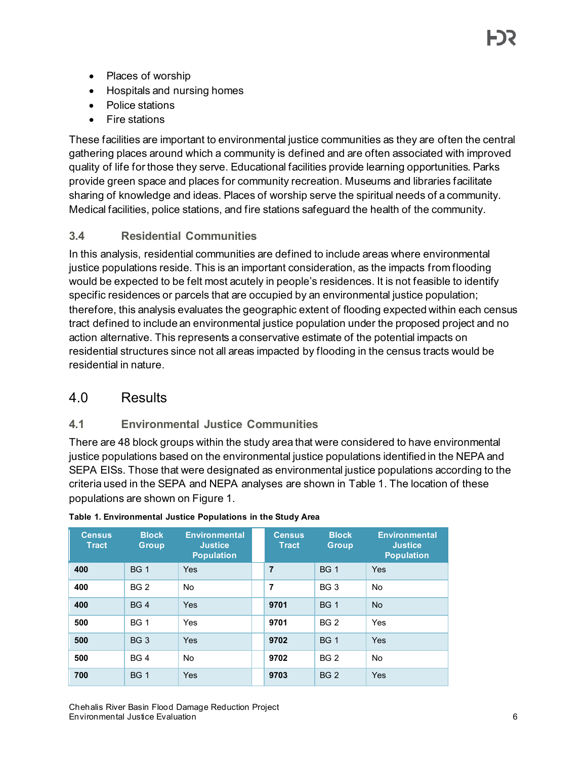- Places of worship
- Hospitals and nursing homes
- Police stations
- Fire stations

These facilities are important to environmental justice communities as they are often the central gathering places around which a community is defined and are often associated with improved quality of life for those they serve. Educational facilities provide learning opportunities. Parks provide green space and places for community recreation. Museums and libraries facilitate sharing of knowledge and ideas. Places of worship serve the spiritual needs of a community. Medical facilities, police stations, and fire stations safeguard the health of the community.

## **3.4 Residential Communities**

In this analysis, residential communities are defined to include areas where environmental justice populations reside. This is an important consideration, as the impacts from flooding would be expected to be felt most acutely in people's residences. It is not feasible to identify specific residences or parcels that are occupied by an environmental justice population; therefore, this analysis evaluates the geographic extent of flooding expected within each census tract defined to include an environmental justice population under the proposed project and no action alternative. This represents a conservative estimate of the potential impacts on residential structures since not all areas impacted by flooding in the census tracts would be residential in nature.

## <span id="page-5-0"></span>4.0 Results

#### **4.1 Environmental Justice Communities**

There are 48 block groups within the study area that were considered to have environmental justice populations based on the environmental justice populations identified in the NEPA and SEPA EISs. Those that were designated as environmental justice populations according to the criteria used in the SEPA and NEPA analyses are shown in [Table 1.](#page-5-1) The location of these populations are shown on Figure 1.

| <b>Census</b><br><b>Tract</b> | <b>Block</b><br><b>Group</b> | <b>Environmental</b><br><b>Justice</b><br><b>Population</b> | <b>Census</b><br><b>Tract</b> | <b>Block</b><br><b>Group</b> | <b>Environmental</b><br><b>Justice</b><br><b>Population</b> |
|-------------------------------|------------------------------|-------------------------------------------------------------|-------------------------------|------------------------------|-------------------------------------------------------------|
| 400                           | <b>BG 1</b>                  | Yes                                                         | $\overline{7}$                | <b>BG 1</b>                  | Yes                                                         |
| 400                           | <b>BG 2</b>                  | <b>No</b>                                                   | $\overline{7}$                | BG <sub>3</sub>              | No                                                          |
| 400                           | <b>BG4</b>                   | Yes                                                         | 9701                          | <b>BG1</b>                   | <b>No</b>                                                   |
| 500                           | <b>BG 1</b>                  | Yes                                                         | 9701                          | <b>BG 2</b>                  | Yes                                                         |
| 500                           | <b>BG3</b>                   | Yes                                                         | 9702                          | <b>BG1</b>                   | Yes                                                         |
| 500                           | BG 4                         | <b>No</b>                                                   | 9702                          | <b>BG 2</b>                  | <b>No</b>                                                   |
| 700                           | <b>BG 1</b>                  | Yes                                                         | 9703                          | <b>BG 2</b>                  | Yes                                                         |

#### <span id="page-5-1"></span>**Table 1. Environmental Justice Populations in the Study Area**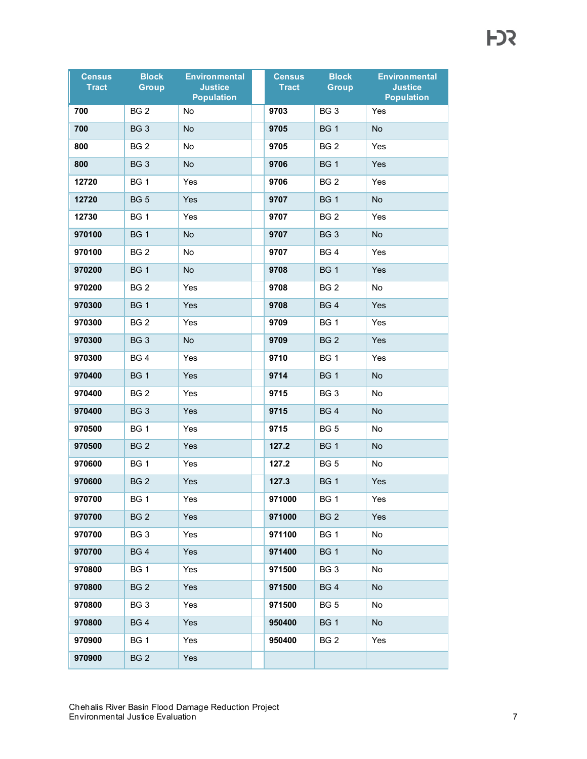| <b>Census</b><br><b>Tract</b> | <b>Block</b><br><b>Group</b> | <b>Environmental</b><br><b>Justice</b><br><b>Population</b> | <b>Census</b><br><b>Tract</b> | <b>Block</b><br><b>Group</b> | <b>Environmental</b><br><b>Justice</b><br><b>Population</b> |
|-------------------------------|------------------------------|-------------------------------------------------------------|-------------------------------|------------------------------|-------------------------------------------------------------|
| 700                           | BG <sub>2</sub>              | No                                                          | 9703                          | BG <sub>3</sub>              | Yes                                                         |
| 700                           | BG <sub>3</sub>              | No                                                          | 9705                          | <b>BG1</b>                   | No                                                          |
| 800                           | BG <sub>2</sub>              | No                                                          | 9705                          | BG <sub>2</sub>              | Yes                                                         |
| 800                           | BG <sub>3</sub>              | No                                                          | 9706                          | BG <sub>1</sub>              | Yes                                                         |
| 12720                         | <b>BG 1</b>                  | Yes                                                         | 9706                          | BG <sub>2</sub>              | Yes                                                         |
| 12720                         | <b>BG 5</b>                  | Yes                                                         | 9707                          | <b>BG1</b>                   | No                                                          |
| 12730                         | <b>BG 1</b>                  | Yes                                                         | 9707                          | BG <sub>2</sub>              | Yes                                                         |
| 970100                        | <b>BG 1</b>                  | No                                                          | 9707                          | BG <sub>3</sub>              | No                                                          |
| 970100                        | BG <sub>2</sub>              | No                                                          | 9707                          | <b>BG4</b>                   | Yes                                                         |
| 970200                        | <b>BG 1</b>                  | No                                                          | 9708                          | <b>BG1</b>                   | Yes                                                         |
| 970200                        | BG <sub>2</sub>              | Yes                                                         | 9708                          | BG <sub>2</sub>              | No                                                          |
| 970300                        | <b>BG1</b>                   | Yes                                                         | 9708                          | BG4                          | Yes                                                         |
| 970300                        | BG <sub>2</sub>              | Yes                                                         | 9709                          | <b>BG1</b>                   | Yes                                                         |
| 970300                        | BG <sub>3</sub>              | No                                                          | 9709                          | BG <sub>2</sub>              | <b>Yes</b>                                                  |
| 970300                        | <b>BG4</b>                   | Yes                                                         | 9710                          | <b>BG1</b>                   | Yes                                                         |
| 970400                        | <b>BG 1</b>                  | Yes                                                         | 9714                          | <b>BG1</b>                   | No                                                          |
| 970400                        | BG <sub>2</sub>              | Yes                                                         | 9715                          | BG <sub>3</sub>              | No                                                          |
| 970400                        | BG <sub>3</sub>              | Yes                                                         | 9715                          | <b>BG4</b>                   | No                                                          |
| 970500                        | <b>BG 1</b>                  | Yes                                                         | 9715                          | <b>BG 5</b>                  | No                                                          |
| 970500                        | BG <sub>2</sub>              | Yes                                                         | 127.2                         | BG <sub>1</sub>              | No                                                          |
| 970600                        | <b>BG 1</b>                  | Yes                                                         | 127.2                         | <b>BG 5</b>                  | No                                                          |
| 970600                        | BG <sub>2</sub>              | Yes                                                         | 127.3                         | <b>BG1</b>                   | Yes                                                         |
| 970700                        | BG <sub>1</sub>              | Yes                                                         | 971000                        | BG <sub>1</sub>              | Yes                                                         |
| 970700                        | BG <sub>2</sub>              | <b>Yes</b>                                                  | 971000                        | BG <sub>2</sub>              | Yes                                                         |
| 970700                        | BG <sub>3</sub>              | Yes                                                         | 971100                        | <b>BG 1</b>                  | No                                                          |
| 970700                        | BG <sub>4</sub>              | <b>Yes</b>                                                  | 971400                        | <b>BG1</b>                   | No                                                          |
| 970800                        | <b>BG 1</b>                  | Yes                                                         | 971500                        | BG <sub>3</sub>              | No                                                          |
| 970800                        | <b>BG 2</b>                  | <b>Yes</b>                                                  | 971500                        | <b>BG4</b>                   | No                                                          |
| 970800                        | BG <sub>3</sub>              | Yes                                                         | 971500                        | BG <sub>5</sub>              | No                                                          |
| 970800                        | BG <sub>4</sub>              | Yes                                                         | 950400                        | BG1                          | No                                                          |
| 970900                        | BG 1                         | Yes                                                         | 950400                        | BG <sub>2</sub>              | Yes                                                         |
| 970900                        | BG <sub>2</sub>              | <b>Yes</b>                                                  |                               |                              |                                                             |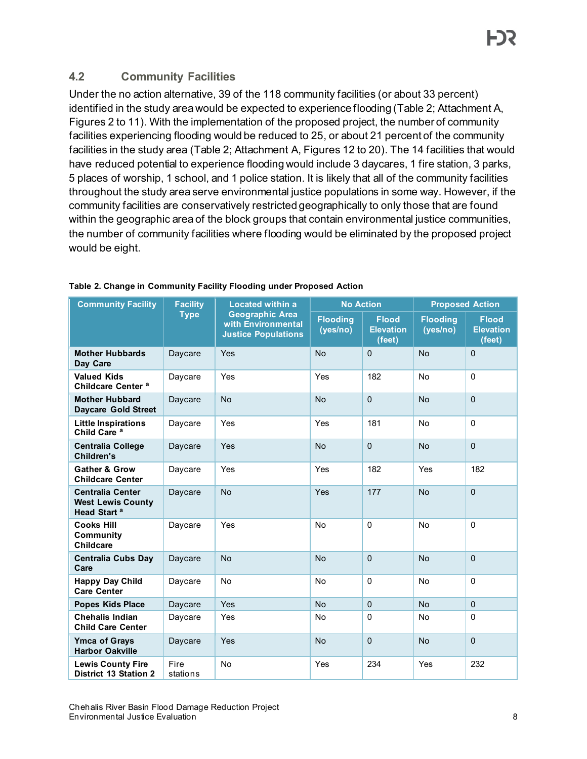## **4.2 Community Facilities**

Under the no action alternative, 39 of the 118 community facilities (or about 33 percent) identified in the study area would be expected to experience flooding [\(Table 2](#page-7-0)[; Attachment A,](#page-15-0) Figures 2 to 11). With the implementation of the proposed project, the number of community facilities experiencing flooding would be reduced to 25, or about 21 percent of the community facilities in the study area [\(Table 2;](#page-7-0) [Attachment A,](#page-15-0) Figures 12 to 20). The 14 facilities that would have reduced potential to experience flooding would include 3 daycares, 1 fire station, 3 parks, 5 places of worship, 1 school, and 1 police station. It is likely that all of the community facilities throughout the study area serve environmental justice populations in some way. However, if the community facilities are conservatively restricted geographically to only those that are found within the geographic area of the block groups that contain environmental justice communities, the number of community facilities where flooding would be eliminated by the proposed project would be eight.

| <b>Community Facility</b>                                                      | <b>Facility</b>  | <b>Located within a</b>                                                    | <b>No Action</b>            |                                            | <b>Proposed Action</b>      |                                            |
|--------------------------------------------------------------------------------|------------------|----------------------------------------------------------------------------|-----------------------------|--------------------------------------------|-----------------------------|--------------------------------------------|
|                                                                                | <b>Type</b>      | <b>Geographic Area</b><br>with Environmental<br><b>Justice Populations</b> | <b>Flooding</b><br>(yes/no) | <b>Flood</b><br><b>Elevation</b><br>(feet) | <b>Flooding</b><br>(yes/no) | <b>Flood</b><br><b>Elevation</b><br>(feet) |
| <b>Mother Hubbards</b><br>Day Care                                             | Daycare          | Yes                                                                        | <b>No</b>                   | $\Omega$                                   | <b>No</b>                   | $\Omega$                                   |
| <b>Valued Kids</b><br>Childcare Center <sup>a</sup>                            | Daycare          | Yes                                                                        | Yes                         | 182                                        | No                          | $\Omega$                                   |
| <b>Mother Hubbard</b><br><b>Daycare Gold Street</b>                            | Daycare          | <b>No</b>                                                                  | <b>No</b>                   | $\mathbf{0}$                               | <b>No</b>                   | $\mathbf 0$                                |
| <b>Little Inspirations</b><br>Child Care <sup>a</sup>                          | Daycare          | Yes                                                                        | Yes                         | 181                                        | <b>No</b>                   | $\Omega$                                   |
| <b>Centralia College</b><br><b>Children's</b>                                  | Daycare          | Yes                                                                        | <b>No</b>                   | $\Omega$                                   | <b>No</b>                   | $\Omega$                                   |
| <b>Gather &amp; Grow</b><br><b>Childcare Center</b>                            | Daycare          | Yes                                                                        | Yes                         | 182                                        | Yes                         | 182                                        |
| <b>Centralia Center</b><br><b>West Lewis County</b><br>Head Start <sup>a</sup> | Daycare          | <b>No</b>                                                                  | Yes                         | 177                                        | <b>No</b>                   | $\mathbf 0$                                |
| <b>Cooks Hill</b><br>Community<br><b>Childcare</b>                             | Daycare          | Yes                                                                        | <b>No</b>                   | $\Omega$                                   | <b>No</b>                   | $\Omega$                                   |
| <b>Centralia Cubs Day</b><br>Care                                              | Daycare          | <b>No</b>                                                                  | <b>No</b>                   | $\Omega$                                   | <b>No</b>                   | $\Omega$                                   |
| <b>Happy Day Child</b><br><b>Care Center</b>                                   | Daycare          | No                                                                         | No                          | $\Omega$                                   | No                          | $\mathbf{0}$                               |
| <b>Popes Kids Place</b>                                                        | Daycare          | Yes                                                                        | <b>No</b>                   | $\mathbf 0$                                | <b>No</b>                   | $\Omega$                                   |
| <b>Chehalis Indian</b><br><b>Child Care Center</b>                             | Daycare          | Yes                                                                        | No                          | 0                                          | No                          | $\Omega$                                   |
| <b>Ymca of Grays</b><br><b>Harbor Oakville</b>                                 | Daycare          | Yes                                                                        | <b>No</b>                   | $\Omega$                                   | <b>No</b>                   | $\Omega$                                   |
| <b>Lewis County Fire</b><br><b>District 13 Station 2</b>                       | Fire<br>stations | No                                                                         | Yes                         | 234                                        | Yes                         | 232                                        |

#### <span id="page-7-0"></span>**Table 2. Change in Community Facility Flooding under Proposed Action**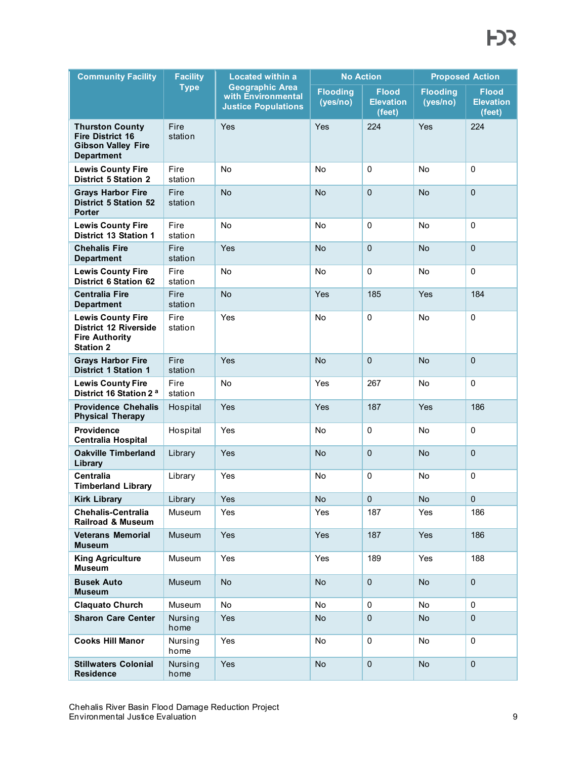| <b>Community Facility</b>                                                                             | <b>Facility</b> | <b>Located within a</b>                                                    | <b>No Action</b>            |                                            | <b>Proposed Action</b>       |                                            |
|-------------------------------------------------------------------------------------------------------|-----------------|----------------------------------------------------------------------------|-----------------------------|--------------------------------------------|------------------------------|--------------------------------------------|
|                                                                                                       | <b>Type</b>     | <b>Geographic Area</b><br>with Environmental<br><b>Justice Populations</b> | <b>Flooding</b><br>(yes/no) | <b>Flood</b><br><b>Elevation</b><br>(feet) | <b>Flooding</b><br>(yes/no)  | <b>Flood</b><br><b>Elevation</b><br>(feet) |
| <b>Thurston County</b><br><b>Fire District 16</b><br><b>Gibson Valley Fire</b><br><b>Department</b>   | Fire<br>station | Yes                                                                        | Yes                         | 224                                        | Yes                          | 224                                        |
| <b>Lewis County Fire</b><br><b>District 5 Station 2</b>                                               | Fire<br>station | No                                                                         | <b>No</b>                   | $\mathbf 0$                                | <b>No</b>                    | $\mathbf{0}$                               |
| <b>Grays Harbor Fire</b><br><b>District 5 Station 52</b><br><b>Porter</b>                             | Fire<br>station | No                                                                         | No                          | $\mathbf 0$                                | No                           | $\Omega$                                   |
| <b>Lewis County Fire</b><br><b>District 13 Station 1</b>                                              | Fire<br>station | No                                                                         | No                          | $\mathbf 0$                                | No                           | $\mathbf{0}$                               |
| <b>Chehalis Fire</b><br><b>Department</b>                                                             | Fire<br>station | Yes                                                                        | No                          | $\mathbf 0$                                | <b>No</b>                    | $\Omega$                                   |
| <b>Lewis County Fire</b><br><b>District 6 Station 62</b>                                              | Fire<br>station | No                                                                         | No                          | $\mathbf 0$                                | No                           | $\mathbf{0}$                               |
| <b>Centralia Fire</b><br><b>Department</b>                                                            | Fire<br>station | No                                                                         | Yes                         | 185                                        | Yes                          | 184                                        |
| <b>Lewis County Fire</b><br><b>District 12 Riverside</b><br><b>Fire Authority</b><br><b>Station 2</b> | Fire<br>station | Yes                                                                        | No                          | $\mathbf 0$                                | No                           | $\mathbf 0$                                |
| <b>Grays Harbor Fire</b><br><b>District 1 Station 1</b>                                               | Fire<br>station | Yes                                                                        | <b>No</b>                   | $\mathbf 0$                                | <b>No</b>                    | $\mathbf 0$                                |
| <b>Lewis County Fire</b><br>District 16 Station 2 <sup>a</sup>                                        | Fire<br>station | No                                                                         | Yes                         | 267                                        | <b>No</b>                    | $\mathbf{0}$                               |
| <b>Providence Chehalis</b><br><b>Physical Therapy</b>                                                 | Hospital        | Yes                                                                        | Yes                         | 187                                        | Yes                          | 186                                        |
| <b>Providence</b><br><b>Centralia Hospital</b>                                                        | Hospital        | Yes                                                                        | <b>No</b>                   | $\mathbf 0$                                | No                           | $\mathbf 0$                                |
| <b>Oakville Timberland</b><br>Library                                                                 | Library         | Yes                                                                        | <b>No</b>                   | $\mathbf 0$                                | <b>No</b>                    | $\mathbf 0$                                |
| <b>Centralia</b><br><b>Timberland Library</b>                                                         | Library         | Yes                                                                        | No                          | $\mathbf 0$                                | <b>No</b>                    | $\mathbf 0$                                |
| <b>Kirk Library</b>                                                                                   | Library         | Yes                                                                        | No                          | $\mathbf 0$                                | $\operatorname{\mathsf{No}}$ | $\mathbf 0$                                |
| <b>Chehalis-Centralia</b><br><b>Railroad &amp; Museum</b>                                             | <b>Museum</b>   | Yes                                                                        | Yes                         | 187                                        | Yes                          | 186                                        |
| <b>Veterans Memorial</b><br><b>Museum</b>                                                             | Museum          | Yes                                                                        | Yes                         | 187                                        | Yes                          | 186                                        |
| <b>King Agriculture</b><br><b>Museum</b>                                                              | Museum          | Yes                                                                        | Yes                         | 189                                        | Yes                          | 188                                        |
| <b>Busek Auto</b><br><b>Museum</b>                                                                    | Museum          | <b>No</b>                                                                  | No                          | $\pmb{0}$                                  | No                           | $\mathbf 0$                                |
| <b>Claquato Church</b>                                                                                | Museum          | No                                                                         | No                          | 0                                          | No                           | 0                                          |
| <b>Sharon Care Center</b>                                                                             | Nursing<br>home | <b>Yes</b>                                                                 | No                          | $\pmb{0}$                                  | No                           | $\mathbf{0}$                               |
| <b>Cooks Hill Manor</b>                                                                               | Nursing<br>home | Yes                                                                        | No                          | 0                                          | No                           | $\mathbf 0$                                |
| <b>Stillwaters Colonial</b><br><b>Residence</b>                                                       | Nursing<br>home | Yes                                                                        | No                          | $\pmb{0}$                                  | No                           | $\pmb{0}$                                  |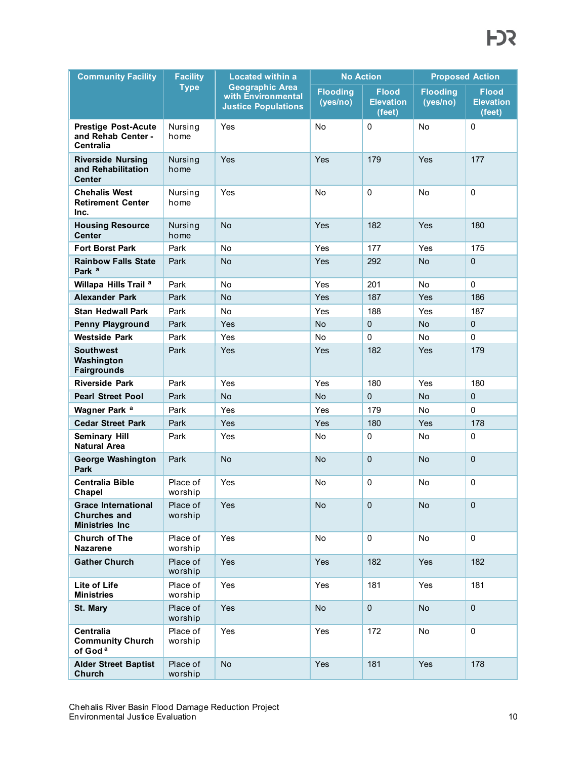| <b>Community Facility</b>                                                  | <b>Facility</b>        | <b>Located within a</b>                                                    | <b>No Action</b>            |                                                  | <b>Proposed Action</b>      |                                            |
|----------------------------------------------------------------------------|------------------------|----------------------------------------------------------------------------|-----------------------------|--------------------------------------------------|-----------------------------|--------------------------------------------|
|                                                                            | <b>Type</b>            | <b>Geographic Area</b><br>with Environmental<br><b>Justice Populations</b> | <b>Flooding</b><br>(yes/no) | <b>Flood</b><br><b>Elevation</b><br>$($ feet $)$ | <b>Flooding</b><br>(yes/no) | <b>Flood</b><br><b>Elevation</b><br>(feet) |
| <b>Prestige Post-Acute</b><br>and Rehab Center -<br><b>Centralia</b>       | Nursing<br>home        | Yes                                                                        | No                          | $\mathbf 0$                                      | No                          | $\mathbf 0$                                |
| <b>Riverside Nursing</b><br>and Rehabilitation<br>Center                   | Nursing<br>home        | Yes                                                                        | Yes                         | 179                                              | Yes                         | 177                                        |
| <b>Chehalis West</b><br><b>Retirement Center</b><br>Inc.                   | Nursing<br>home        | Yes                                                                        | <b>No</b>                   | $\mathbf 0$                                      | No                          | $\mathbf 0$                                |
| <b>Housing Resource</b><br>Center                                          | <b>Nursing</b><br>home | No                                                                         | Yes                         | 182                                              | Yes                         | 180                                        |
| <b>Fort Borst Park</b>                                                     | Park                   | No                                                                         | Yes                         | 177                                              | Yes                         | 175                                        |
| <b>Rainbow Falls State</b><br>Park <sup>a</sup>                            | Park                   | <b>No</b>                                                                  | Yes                         | 292                                              | <b>No</b>                   | $\mathbf 0$                                |
| Willapa Hills Trail <sup>a</sup>                                           | Park                   | No                                                                         | Yes                         | 201                                              | No                          | $\mathbf{0}$                               |
| <b>Alexander Park</b>                                                      | Park                   | No                                                                         | Yes                         | 187                                              | Yes                         | 186                                        |
| Stan Hedwall Park                                                          | Park                   | No                                                                         | Yes                         | 188                                              | Yes                         | 187                                        |
| Penny Playground                                                           | Park                   | Yes                                                                        | No                          | $\mathbf{0}$                                     | <b>No</b>                   | $\mathbf{0}$                               |
| <b>Westside Park</b>                                                       | Park                   | Yes                                                                        | <b>No</b>                   | 0                                                | No                          | $\mathbf 0$                                |
| Southwest<br>Washington<br><b>Fairgrounds</b>                              | Park                   | Yes                                                                        | Yes                         | 182                                              | Yes                         | 179                                        |
| <b>Riverside Park</b>                                                      | Park                   | Yes                                                                        | Yes                         | 180                                              | Yes                         | 180                                        |
| <b>Pearl Street Pool</b>                                                   | Park                   | No                                                                         | <b>No</b>                   | $\mathbf{0}$                                     | <b>No</b>                   | $\mathbf{0}$                               |
| Wagner Park <sup>a</sup>                                                   | Park                   | Yes                                                                        | Yes                         | 179                                              | No                          | $\mathbf{0}$                               |
| <b>Cedar Street Park</b>                                                   | Park                   | Yes                                                                        | Yes                         | 180                                              | Yes                         | 178                                        |
| <b>Seminary Hill</b><br><b>Natural Area</b>                                | Park                   | Yes                                                                        | <b>No</b>                   | 0                                                | No                          | $\mathbf 0$                                |
| <b>George Washington</b><br>Park                                           | Park                   | <b>No</b>                                                                  | <b>No</b>                   | $\pmb{0}$                                        | <b>No</b>                   | $\mathbf 0$                                |
| <b>Centralia Bible</b><br>Chapel                                           | Place of<br>worship    | Yes                                                                        | No                          | $\mathbf 0$                                      | No                          | $\mathbf 0$                                |
| <b>Grace International</b><br><b>Churches and</b><br><b>Ministries Inc</b> | Place of<br>worship    | Yes                                                                        | No                          | $\mathbf 0$                                      | No                          | $\mathbf 0$                                |
| <b>Church of The</b><br><b>Nazarene</b>                                    | Place of<br>worship    | Yes                                                                        | No                          | $\mathsf{O}\xspace$                              | No                          | $\mathbf 0$                                |
| <b>Gather Church</b>                                                       | Place of<br>worship    | Yes                                                                        | Yes                         | 182                                              | Yes                         | 182                                        |
| Lite of Life<br><b>Ministries</b>                                          | Place of<br>worship    | Yes                                                                        | Yes                         | 181                                              | Yes                         | 181                                        |
| St. Mary                                                                   | Place of<br>worship    | Yes                                                                        | No                          | $\pmb{0}$                                        | <b>No</b>                   | $\pmb{0}$                                  |
| Centralia<br><b>Community Church</b><br>of God <sup>a</sup>                | Place of<br>worship    | Yes                                                                        | Yes                         | 172                                              | No                          | 0                                          |
| <b>Alder Street Baptist</b><br>Church                                      | Place of<br>worship    | No                                                                         | Yes                         | 181                                              | Yes                         | 178                                        |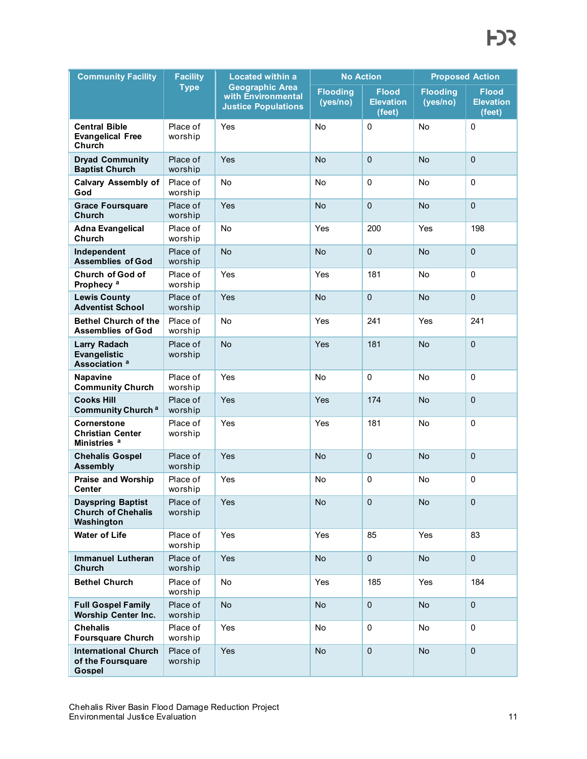| <b>Community Facility</b>                                              | <b>Facility</b>     | <b>Located within a</b>                                                    | <b>No Action</b>            |                                            | <b>Proposed Action</b>      |                                            |
|------------------------------------------------------------------------|---------------------|----------------------------------------------------------------------------|-----------------------------|--------------------------------------------|-----------------------------|--------------------------------------------|
|                                                                        | <b>Type</b>         | <b>Geographic Area</b><br>with Environmental<br><b>Justice Populations</b> | <b>Flooding</b><br>(yes/no) | <b>Flood</b><br><b>Elevation</b><br>(feet) | <b>Flooding</b><br>(yes/no) | <b>Flood</b><br><b>Elevation</b><br>(feet) |
| <b>Central Bible</b><br><b>Evangelical Free</b><br>Church              | Place of<br>worship | Yes                                                                        | No                          | 0                                          | No                          | $\Omega$                                   |
| <b>Dryad Community</b><br><b>Baptist Church</b>                        | Place of<br>worship | Yes                                                                        | <b>No</b>                   | $\mathbf 0$                                | <b>No</b>                   | $\mathbf 0$                                |
| <b>Calvary Assembly of</b><br>God                                      | Place of<br>worship | <b>No</b>                                                                  | <b>No</b>                   | $\mathbf 0$                                | No                          | $\mathbf 0$                                |
| <b>Grace Foursquare</b><br>Church                                      | Place of<br>worship | Yes                                                                        | <b>No</b>                   | $\mathbf 0$                                | <b>No</b>                   | $\mathbf 0$                                |
| <b>Adna Evangelical</b><br>Church                                      | Place of<br>worship | <b>No</b>                                                                  | Yes                         | 200                                        | Yes                         | 198                                        |
| Independent<br><b>Assemblies of God</b>                                | Place of<br>worship | <b>No</b>                                                                  | <b>No</b>                   | $\mathbf 0$                                | <b>No</b>                   | $\mathbf 0$                                |
| Church of God of<br>Prophecy <sup>a</sup>                              | Place of<br>worship | Yes                                                                        | Yes                         | 181                                        | No                          | $\mathbf 0$                                |
| <b>Lewis County</b><br><b>Adventist School</b>                         | Place of<br>worship | Yes                                                                        | <b>No</b>                   | $\mathbf 0$                                | <b>No</b>                   | $\mathbf 0$                                |
| <b>Bethel Church of the</b><br><b>Assemblies of God</b>                | Place of<br>worship | <b>No</b>                                                                  | Yes                         | 241                                        | Yes                         | 241                                        |
| <b>Larry Radach</b><br><b>Evangelistic</b><br>Association <sup>a</sup> | Place of<br>worship | No                                                                         | Yes                         | 181                                        | <b>No</b>                   | $\mathbf 0$                                |
| Napavine<br><b>Community Church</b>                                    | Place of<br>worship | Yes                                                                        | No                          | 0                                          | No                          | $\mathbf 0$                                |
| <b>Cooks Hill</b><br><b>Community Church a</b>                         | Place of<br>worship | Yes                                                                        | Yes                         | 174                                        | <b>No</b>                   | $\mathbf{0}$                               |
| Cornerstone<br><b>Christian Center</b><br>Ministries <sup>a</sup>      | Place of<br>worship | Yes                                                                        | Yes                         | 181                                        | No                          | $\mathbf 0$                                |
| <b>Chehalis Gospel</b><br><b>Assembly</b>                              | Place of<br>worship | Yes                                                                        | <b>No</b>                   | $\mathbf 0$                                | <b>No</b>                   | $\mathbf 0$                                |
| <b>Praise and Worship</b><br><b>Center</b>                             | Place of<br>worship | Yes                                                                        | No                          | $\pmb{0}$                                  | No                          | $\mathbf 0$                                |
| <b>Dayspring Baptist</b><br><b>Church of Chehalis</b><br>Washington    | Place of<br>worship | Yes                                                                        | No                          | $\pmb{0}$                                  | No                          | $\mathbf 0$                                |
| <b>Water of Life</b>                                                   | Place of<br>worship | Yes                                                                        | Yes                         | 85                                         | Yes                         | 83                                         |
| <b>Immanuel Lutheran</b><br>Church                                     | Place of<br>worship | Yes                                                                        | No                          | $\mathbf 0$                                | No                          | $\mathbf 0$                                |
| <b>Bethel Church</b>                                                   | Place of<br>worship | No                                                                         | Yes                         | 185                                        | Yes                         | 184                                        |
| <b>Full Gospel Family</b><br><b>Worship Center Inc.</b>                | Place of<br>worship | <b>No</b>                                                                  | No                          | $\mathbf 0$                                | No                          | $\mathbf 0$                                |
| <b>Chehalis</b><br><b>Foursquare Church</b>                            | Place of<br>worship | Yes                                                                        | No                          | 0                                          | No                          | $\mathbf 0$                                |
| <b>International Church</b><br>of the Foursquare<br><b>Gospel</b>      | Place of<br>worship | Yes                                                                        | No                          | $\pmb{0}$                                  | No                          | $\mathbf{0}$                               |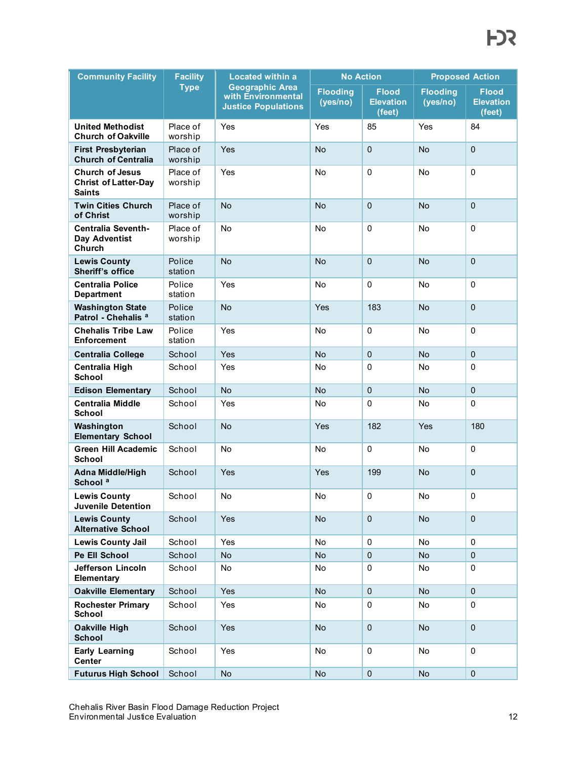| <b>Community Facility</b>                                              | <b>Facility</b>     | <b>Located within a</b>                                                    |                             | <b>No Action</b>                           | <b>Proposed Action</b>      |                                            |
|------------------------------------------------------------------------|---------------------|----------------------------------------------------------------------------|-----------------------------|--------------------------------------------|-----------------------------|--------------------------------------------|
|                                                                        | <b>Type</b>         | <b>Geographic Area</b><br>with Environmental<br><b>Justice Populations</b> | <b>Flooding</b><br>(yes/no) | <b>Flood</b><br><b>Elevation</b><br>(feet) | <b>Flooding</b><br>(yes/no) | <b>Flood</b><br><b>Elevation</b><br>(feet) |
| <b>United Methodist</b><br><b>Church of Oakville</b>                   | Place of<br>worship | Yes                                                                        | Yes                         | 85                                         | Yes                         | 84                                         |
| <b>First Presbyterian</b><br><b>Church of Centralia</b>                | Place of<br>worship | Yes                                                                        | <b>No</b>                   | $\mathbf{0}$                               | <b>No</b>                   | $\mathbf{0}$                               |
| <b>Church of Jesus</b><br><b>Christ of Latter-Day</b><br><b>Saints</b> | Place of<br>worship | Yes                                                                        | <b>No</b>                   | $\mathbf 0$                                | No                          | $\mathbf 0$                                |
| <b>Twin Cities Church</b><br>of Christ                                 | Place of<br>worship | <b>No</b>                                                                  | <b>No</b>                   | $\mathbf{0}$                               | <b>No</b>                   | $\mathbf 0$                                |
| <b>Centralia Seventh-</b><br>Day Adventist<br>Church                   | Place of<br>worship | No                                                                         | <b>No</b>                   | 0                                          | No                          | $\mathbf 0$                                |
| <b>Lewis County</b><br>Sheriff's office                                | Police<br>station   | <b>No</b>                                                                  | <b>No</b>                   | $\mathbf 0$                                | <b>No</b>                   | $\mathbf 0$                                |
| <b>Centralia Police</b><br><b>Department</b>                           | Police<br>station   | Yes                                                                        | No                          | 0                                          | No                          | $\mathbf 0$                                |
| <b>Washington State</b><br>Patrol - Chehalis <sup>a</sup>              | Police<br>station   | <b>No</b>                                                                  | Yes                         | 183                                        | <b>No</b>                   | $\mathbf 0$                                |
| <b>Chehalis Tribe Law</b><br><b>Enforcement</b>                        | Police<br>station   | Yes                                                                        | No                          | 0                                          | No                          | $\mathbf 0$                                |
| <b>Centralia College</b>                                               | School              | Yes                                                                        | <b>No</b>                   | $\mathbf 0$                                | <b>No</b>                   | $\mathbf 0$                                |
| Centralia High<br>School                                               | School              | Yes                                                                        | No                          | 0                                          | No                          | $\mathbf 0$                                |
| <b>Edison Elementary</b>                                               | School              | <b>No</b>                                                                  | <b>No</b>                   | $\mathbf 0$                                | <b>No</b>                   | $\Omega$                                   |
| <b>Centralia Middle</b><br><b>School</b>                               | School              | Yes                                                                        | No                          | 0                                          | No                          | $\mathbf 0$                                |
| Washington<br><b>Elementary School</b>                                 | School              | <b>No</b>                                                                  | Yes                         | 182                                        | Yes                         | 180                                        |
| Green Hill Academic<br><b>School</b>                                   | School              | No                                                                         | No                          | 0                                          | No                          | $\mathbf 0$                                |
| <b>Adna Middle/High</b><br>School <sup>a</sup>                         | School              | Yes                                                                        | Yes                         | 199                                        | <b>No</b>                   | $\Omega$                                   |
| <b>Lewis County</b><br><b>Juvenile Detention</b>                       | School              | No                                                                         | No                          | 0                                          | No                          | 0                                          |
| <b>Lewis County</b><br><b>Alternative School</b>                       | School              | Yes                                                                        | No                          | $\pmb{0}$                                  | No                          | $\mathbf{0}$                               |
| <b>Lewis County Jail</b>                                               | School              | Yes                                                                        | No                          | 0                                          | No                          | $\mathbf 0$                                |
| Pe Ell School                                                          | School              | <b>No</b>                                                                  | No                          | $\pmb{0}$                                  | No                          | $\mathbf{0}$                               |
| <b>Jefferson Lincoln</b><br>Elementary                                 | School              | No                                                                         | No                          | 0                                          | No                          | $\mathbf 0$                                |
| <b>Oakville Elementary</b>                                             | School              | Yes                                                                        | No                          | $\pmb{0}$                                  | No                          | $\mathbf 0$                                |
| <b>Rochester Primary</b><br>School                                     | School              | Yes                                                                        | No                          | 0                                          | No                          | 0                                          |
| <b>Oakville High</b><br><b>School</b>                                  | School              | Yes                                                                        | No                          | $\pmb{0}$                                  | No                          | $\mathbf 0$                                |
| <b>Early Learning</b><br>Center                                        | School              | Yes                                                                        | No                          | 0                                          | No                          | $\mathbf 0$                                |
| <b>Futurus High School</b>                                             | School              | No                                                                         | No                          | $\pmb{0}$                                  | No                          | $\mathbf 0$                                |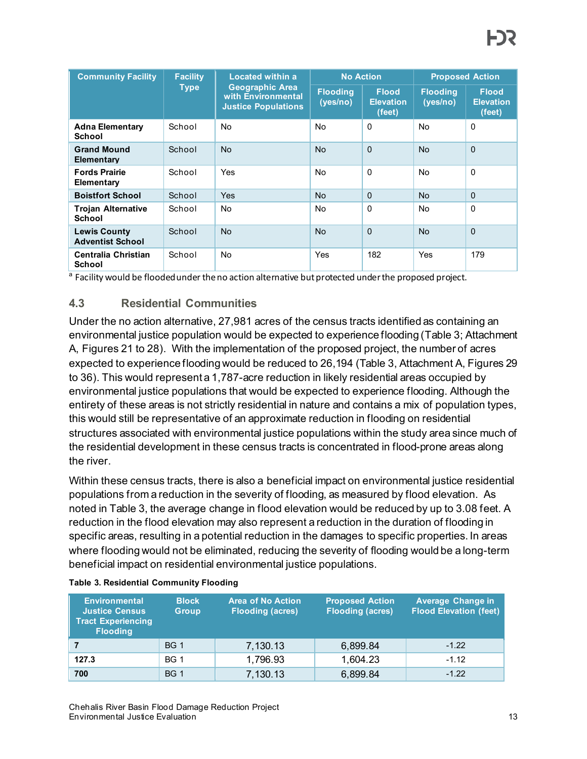| <b>Community Facility</b>                      | <b>Facility</b>                   | Located within a                                     |                             | <b>No Action</b>                           |                             | <b>Proposed Action</b>                     |  |
|------------------------------------------------|-----------------------------------|------------------------------------------------------|-----------------------------|--------------------------------------------|-----------------------------|--------------------------------------------|--|
|                                                | <b>Type</b><br>with Environmental | <b>Geographic Area</b><br><b>Justice Populations</b> | <b>Flooding</b><br>(yes/no) | <b>Flood</b><br><b>Elevation</b><br>(feet) | <b>Flooding</b><br>(yes/no) | <b>Flood</b><br><b>Elevation</b><br>(feet) |  |
| <b>Adna Elementary</b><br>School               | School                            | <b>No</b>                                            | <b>No</b>                   | $\mathbf{0}$                               | <b>No</b>                   | $\Omega$                                   |  |
| <b>Grand Mound</b><br>Elementary               | School                            | <b>No</b>                                            | <b>No</b>                   | $\Omega$                                   | <b>No</b>                   | $\Omega$                                   |  |
| <b>Fords Prairie</b><br>Elementary             | School                            | Yes                                                  | <b>No</b>                   | $\Omega$                                   | No                          | $\mathbf{0}$                               |  |
| <b>Boistfort School</b>                        | School                            | Yes                                                  | <b>No</b>                   | $\Omega$                                   | <b>No</b>                   | $\Omega$                                   |  |
| <b>Trojan Alternative</b><br>School            | School                            | No.                                                  | <b>No</b>                   | $\Omega$                                   | No                          | $\Omega$                                   |  |
| <b>Lewis County</b><br><b>Adventist School</b> | School                            | N <sub>o</sub>                                       | <b>No</b>                   | $\Omega$                                   | <b>No</b>                   | $\Omega$                                   |  |
| Centralia Christian<br><b>School</b>           | School                            | No                                                   | Yes                         | 182                                        | Yes                         | 179                                        |  |

<sup>a</sup> Facility would be flooded under the no action alternative but protected under the proposed project.

### **4.3 Residential Communities**

Under the no action alternative, 27,981 acres of the census tracts identified as containing an environmental justice population would be expected to experience flooding [\(Table 3](#page-12-0)[; Attachment](#page-15-0)  [A,](#page-15-0) Figures 21 to 28). With the implementation of the proposed project, the number of acres expected to experience flooding would be reduced to 26,194 [\(Table 3](#page-12-0)[, Attachment A,](#page-15-0) Figures 29 to 36). This would represent a 1,787-acre reduction in likely residential areas occupied by environmental justice populations that would be expected to experience flooding. Although the entirety of these areas is not strictly residential in nature and contains a mix of population types, this would still be representative of an approximate reduction in flooding on residential structures associated with environmental justice populations within the study area since much of the residential development in these census tracts is concentrated in flood-prone areas along the river.

Within these census tracts, there is also a beneficial impact on environmental justice residential populations from a reduction in the severity of flooding, as measured by flood elevation. As noted in [Table 3,](#page-12-0) the average change in flood elevation would be reduced by up to 3.08 feet. A reduction in the flood elevation may also represent a reduction in the duration of flooding in specific areas, resulting in a potential reduction in the damages to specific properties. In areas where flooding would not be eliminated, reducing the severity of flooding would be a long-term beneficial impact on residential environmental justice populations.

| <b>Environmental</b><br><b>Justice Census</b><br><b>Tract Experiencing</b><br><b>Flooding</b> | <b>Block</b><br><b>Group</b> | <b>Area of No Action</b><br><b>Flooding (acres)</b> | <b>Proposed Action</b><br><b>Flooding (acres)</b> | <b>Average Change in</b><br><b>Flood Elevation (feet)</b> |
|-----------------------------------------------------------------------------------------------|------------------------------|-----------------------------------------------------|---------------------------------------------------|-----------------------------------------------------------|
|                                                                                               | <b>BG 1</b>                  | 7,130.13                                            | 6,899.84                                          | $-1.22$                                                   |
| 127.3                                                                                         | <b>BG 1</b>                  | 1,796.93                                            | 1,604.23                                          | $-1.12$                                                   |
| 700                                                                                           | <b>BG 1</b>                  | 7,130.13                                            | 6,899.84                                          | $-1.22$                                                   |

#### <span id="page-12-0"></span>**Table 3. Residential Community Flooding**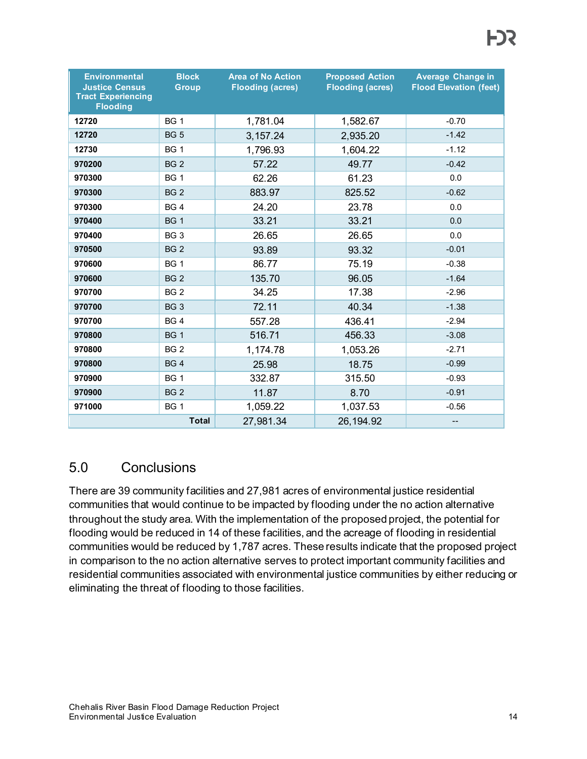| <b>Environmental</b><br><b>Justice Census</b><br><b>Tract Experiencing</b><br><b>Flooding</b> | <b>Block</b><br>Group | <b>Area of No Action</b><br><b>Flooding (acres)</b> | <b>Proposed Action</b><br><b>Flooding (acres)</b> | <b>Average Change in</b><br><b>Flood Elevation (feet)</b> |
|-----------------------------------------------------------------------------------------------|-----------------------|-----------------------------------------------------|---------------------------------------------------|-----------------------------------------------------------|
| 12720                                                                                         | <b>BG 1</b>           | 1,781.04                                            | 1,582.67                                          | $-0.70$                                                   |
| 12720                                                                                         | <b>BG 5</b>           | 3,157.24                                            | 2,935.20                                          | $-1.42$                                                   |
| 12730                                                                                         | <b>BG 1</b>           | 1,796.93                                            | 1,604.22                                          | $-1.12$                                                   |
| 970200                                                                                        | <b>BG 2</b>           | 57.22                                               | 49.77                                             | $-0.42$                                                   |
| 970300                                                                                        | <b>BG 1</b>           | 62.26                                               | 61.23                                             | 0.0                                                       |
| 970300                                                                                        | <b>BG 2</b>           | 883.97                                              | 825.52                                            | $-0.62$                                                   |
| 970300                                                                                        | BG <sub>4</sub>       | 24.20                                               | 23.78                                             | 0.0                                                       |
| 970400                                                                                        | BG <sub>1</sub>       | 33.21                                               | 33.21                                             | 0.0                                                       |
| 970400                                                                                        | BG <sub>3</sub>       | 26.65                                               | 26.65                                             | 0.0                                                       |
| 970500                                                                                        | BG <sub>2</sub>       | 93.89                                               | 93.32                                             | $-0.01$                                                   |
| 970600                                                                                        | BG <sub>1</sub>       | 86.77                                               | 75.19                                             | $-0.38$                                                   |
| 970600                                                                                        | BG <sub>2</sub>       | 135.70                                              | 96.05                                             | $-1.64$                                                   |
| 970700                                                                                        | BG <sub>2</sub>       | 34.25                                               | 17.38                                             | $-2.96$                                                   |
| 970700                                                                                        | BG <sub>3</sub>       | 72.11                                               | 40.34                                             | $-1.38$                                                   |
| 970700                                                                                        | BG <sub>4</sub>       | 557.28                                              | 436.41                                            | $-2.94$                                                   |
| 970800                                                                                        | <b>BG1</b>            | 516.71                                              | 456.33                                            | $-3.08$                                                   |
| 970800                                                                                        | BG <sub>2</sub>       | 1,174.78                                            | 1,053.26                                          | $-2.71$                                                   |
| 970800                                                                                        | <b>BG4</b>            | 25.98                                               | 18.75                                             | $-0.99$                                                   |
| 970900                                                                                        | <b>BG 1</b>           | 332.87                                              | 315.50                                            | $-0.93$                                                   |
| 970900                                                                                        | <b>BG 2</b>           | 11.87                                               | 8.70                                              | $-0.91$                                                   |
| 971000                                                                                        | <b>BG 1</b>           | 1,059.22                                            | 1,037.53                                          | $-0.56$                                                   |
|                                                                                               | <b>Total</b>          | 27,981.34                                           | 26, 194.92                                        | --                                                        |

# 5.0 Conclusions

There are 39 community facilities and 27,981 acres of environmental justice residential communities that would continue to be impacted by flooding under the no action alternative throughout the study area. With the implementation of the proposed project, the potential for flooding would be reduced in 14 of these facilities, and the acreage of flooding in residential communities would be reduced by 1,787 acres. These results indicate that the proposed project in comparison to the no action alternative serves to protect important community facilities and residential communities associated with environmental justice communities by either reducing or eliminating the threat of flooding to those facilities.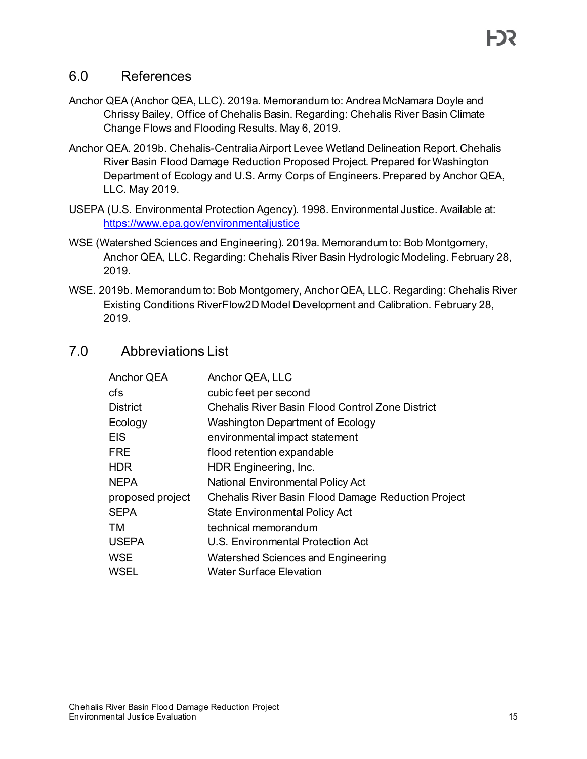## 6.0 References

- Anchor QEA (Anchor QEA, LLC). 2019a. Memorandum to: Andrea McNamara Doyle and Chrissy Bailey, Office of Chehalis Basin. Regarding: Chehalis River Basin Climate Change Flows and Flooding Results. May 6, 2019.
- Anchor QEA. 2019b. Chehalis-Centralia Airport Levee Wetland Delineation Report. Chehalis River Basin Flood Damage Reduction Proposed Project. Prepared for Washington Department of Ecology and U.S. Army Corps of Engineers. Prepared by Anchor QEA, LLC. May 2019.
- USEPA (U.S. Environmental Protection Agency). 1998. Environmental Justice. Available at: <https://www.epa.gov/environmentaljustice>
- WSE (Watershed Sciences and Engineering). 2019a. Memorandum to: Bob Montgomery, Anchor QEA, LLC. Regarding: Chehalis River Basin Hydrologic Modeling. February 28, 2019.
- WSE. 2019b. Memorandum to: Bob Montgomery, Anchor QEA, LLC. Regarding: Chehalis River Existing Conditions RiverFlow2D Model Development and Calibration. February 28, 2019.

## 7.0 Abbreviations List

| Anchor QEA       | Anchor QEA, LLC                                            |
|------------------|------------------------------------------------------------|
| cfs              | cubic feet per second                                      |
| <b>District</b>  | <b>Chehalis River Basin Flood Control Zone District</b>    |
| Ecology          | <b>Washington Department of Ecology</b>                    |
| <b>EIS</b>       | environmental impact statement                             |
| FRE              | flood retention expandable                                 |
| HDR.             | HDR Engineering, Inc.                                      |
| NEPA             | <b>National Environmental Policy Act</b>                   |
| proposed project | <b>Chehalis River Basin Flood Damage Reduction Project</b> |
| SEPA             | <b>State Environmental Policy Act</b>                      |
| ТM               | technical memorandum                                       |
| <b>USEPA</b>     | <b>U.S. Environmental Protection Act</b>                   |
| <b>WSE</b>       | <b>Watershed Sciences and Engineering</b>                  |
| WSEL             | <b>Water Surface Elevation</b>                             |
|                  |                                                            |